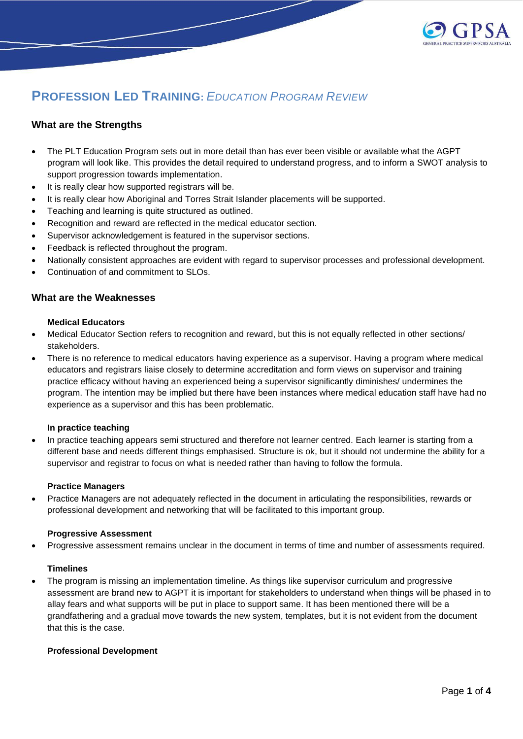

# **PROFESSION LED TRAINING:** *EDUCATION PROGRAM REVIEW*

# **What are the Strengths**

- The PLT Education Program sets out in more detail than has ever been visible or available what the AGPT program will look like. This provides the detail required to understand progress, and to inform a SWOT analysis to support progression towards implementation.
- It is really clear how supported registrars will be.
- It is really clear how Aboriginal and Torres Strait Islander placements will be supported.
- Teaching and learning is quite structured as outlined.
- Recognition and reward are reflected in the medical educator section.
- Supervisor acknowledgement is featured in the supervisor sections.
- Feedback is reflected throughout the program.
- Nationally consistent approaches are evident with regard to supervisor processes and professional development.
- Continuation of and commitment to SLOs.

# **What are the Weaknesses**

## **Medical Educators**

- Medical Educator Section refers to recognition and reward, but this is not equally reflected in other sections/ stakeholders.
- There is no reference to medical educators having experience as a supervisor. Having a program where medical educators and registrars liaise closely to determine accreditation and form views on supervisor and training practice efficacy without having an experienced being a supervisor significantly diminishes/ undermines the program. The intention may be implied but there have been instances where medical education staff have had no experience as a supervisor and this has been problematic.

#### **In practice teaching**

In practice teaching appears semi structured and therefore not learner centred. Each learner is starting from a different base and needs different things emphasised. Structure is ok, but it should not undermine the ability for a supervisor and registrar to focus on what is needed rather than having to follow the formula.

#### **Practice Managers**

• Practice Managers are not adequately reflected in the document in articulating the responsibilities, rewards or professional development and networking that will be facilitated to this important group.

#### **Progressive Assessment**

• Progressive assessment remains unclear in the document in terms of time and number of assessments required.

## **Timelines**

• The program is missing an implementation timeline. As things like supervisor curriculum and progressive assessment are brand new to AGPT it is important for stakeholders to understand when things will be phased in to allay fears and what supports will be put in place to support same. It has been mentioned there will be a grandfathering and a gradual move towards the new system, templates, but it is not evident from the document that this is the case.

## **Professional Development**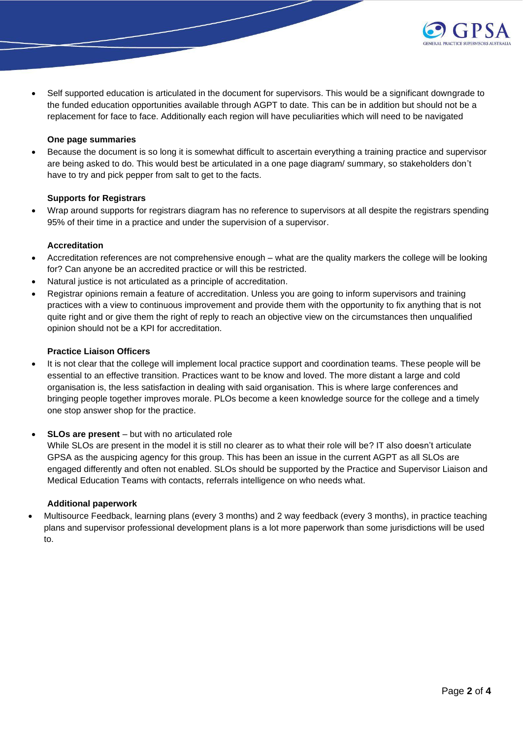

• Self supported education is articulated in the document for supervisors. This would be a significant downgrade to the funded education opportunities available through AGPT to date. This can be in addition but should not be a replacement for face to face. Additionally each region will have peculiarities which will need to be navigated

#### **One page summaries**

• Because the document is so long it is somewhat difficult to ascertain everything a training practice and supervisor are being asked to do. This would best be articulated in a one page diagram/ summary, so stakeholders don't have to try and pick pepper from salt to get to the facts.

## **Supports for Registrars**

• Wrap around supports for registrars diagram has no reference to supervisors at all despite the registrars spending 95% of their time in a practice and under the supervision of a supervisor.

## **Accreditation**

- Accreditation references are not comprehensive enough what are the quality markers the college will be looking for? Can anyone be an accredited practice or will this be restricted.
- Natural justice is not articulated as a principle of accreditation.
- Registrar opinions remain a feature of accreditation. Unless you are going to inform supervisors and training practices with a view to continuous improvement and provide them with the opportunity to fix anything that is not quite right and or give them the right of reply to reach an objective view on the circumstances then unqualified opinion should not be a KPI for accreditation.

## **Practice Liaison Officers**

- It is not clear that the college will implement local practice support and coordination teams. These people will be essential to an effective transition. Practices want to be know and loved. The more distant a large and cold organisation is, the less satisfaction in dealing with said organisation. This is where large conferences and bringing people together improves morale. PLOs become a keen knowledge source for the college and a timely one stop answer shop for the practice.
- **SLOs are present** but with no articulated role

While SLOs are present in the model it is still no clearer as to what their role will be? IT also doesn't articulate GPSA as the auspicing agency for this group. This has been an issue in the current AGPT as all SLOs are engaged differently and often not enabled. SLOs should be supported by the Practice and Supervisor Liaison and Medical Education Teams with contacts, referrals intelligence on who needs what.

#### **Additional paperwork**

• Multisource Feedback, learning plans (every 3 months) and 2 way feedback (every 3 months), in practice teaching plans and supervisor professional development plans is a lot more paperwork than some jurisdictions will be used to.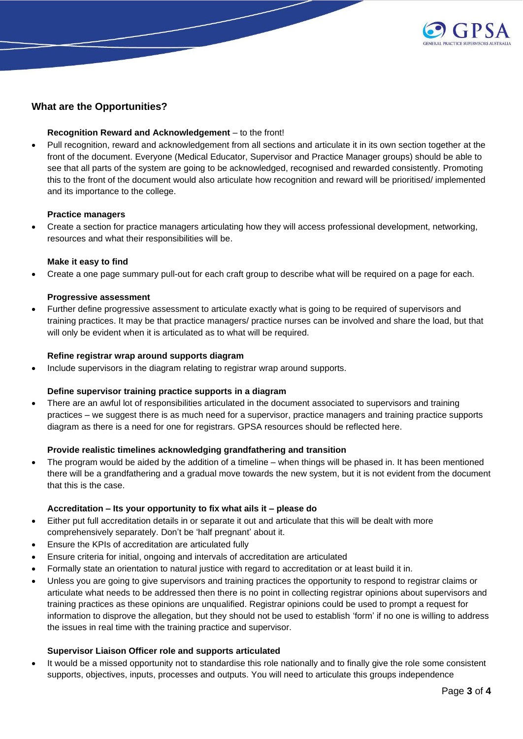

# **What are the Opportunities?**

## **Recognition Reward and Acknowledgement** – to the front!

• Pull recognition, reward and acknowledgement from all sections and articulate it in its own section together at the front of the document. Everyone (Medical Educator, Supervisor and Practice Manager groups) should be able to see that all parts of the system are going to be acknowledged, recognised and rewarded consistently. Promoting this to the front of the document would also articulate how recognition and reward will be prioritised/ implemented and its importance to the college.

#### **Practice managers**

• Create a section for practice managers articulating how they will access professional development, networking, resources and what their responsibilities will be.

#### **Make it easy to find**

• Create a one page summary pull-out for each craft group to describe what will be required on a page for each.

## **Progressive assessment**

• Further define progressive assessment to articulate exactly what is going to be required of supervisors and training practices. It may be that practice managers/ practice nurses can be involved and share the load, but that will only be evident when it is articulated as to what will be required.

## **Refine registrar wrap around supports diagram**

• Include supervisors in the diagram relating to registrar wrap around supports.

## **Define supervisor training practice supports in a diagram**

• There are an awful lot of responsibilities articulated in the document associated to supervisors and training practices – we suggest there is as much need for a supervisor, practice managers and training practice supports diagram as there is a need for one for registrars. GPSA resources should be reflected here.

# **Provide realistic timelines acknowledging grandfathering and transition**

• The program would be aided by the addition of a timeline – when things will be phased in. It has been mentioned there will be a grandfathering and a gradual move towards the new system, but it is not evident from the document that this is the case.

#### **Accreditation – Its your opportunity to fix what ails it – please do**

- Either put full accreditation details in or separate it out and articulate that this will be dealt with more comprehensively separately. Don't be 'half pregnant' about it.
- Ensure the KPIs of accreditation are articulated fully
- Ensure criteria for initial, ongoing and intervals of accreditation are articulated
- Formally state an orientation to natural justice with regard to accreditation or at least build it in.
- Unless you are going to give supervisors and training practices the opportunity to respond to registrar claims or articulate what needs to be addressed then there is no point in collecting registrar opinions about supervisors and training practices as these opinions are unqualified. Registrar opinions could be used to prompt a request for information to disprove the allegation, but they should not be used to establish 'form' if no one is willing to address the issues in real time with the training practice and supervisor.

## **Supervisor Liaison Officer role and supports articulated**

It would be a missed opportunity not to standardise this role nationally and to finally give the role some consistent supports, objectives, inputs, processes and outputs. You will need to articulate this groups independence